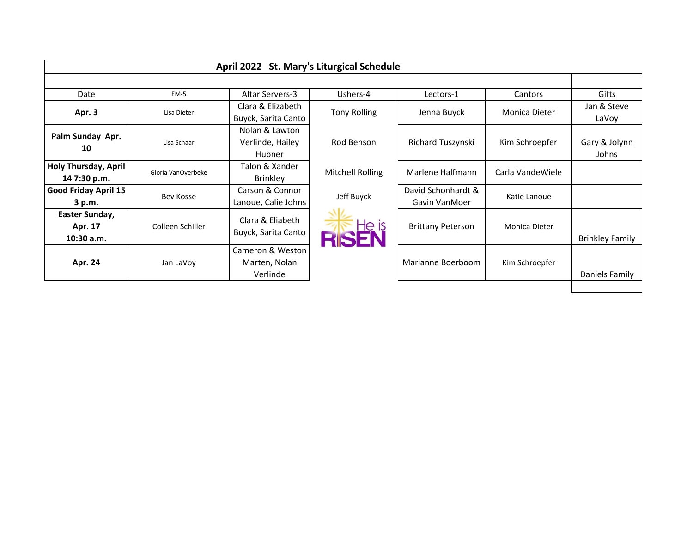|                             |                    | April 2022 St. Mary's Liturgical Schedule |                     |                                     |                   |                        |
|-----------------------------|--------------------|-------------------------------------------|---------------------|-------------------------------------|-------------------|------------------------|
|                             |                    |                                           |                     |                                     |                   |                        |
| Date                        | <b>EM-5</b>        | Altar Servers-3                           | Ushers-4            | Lectors-1                           | Cantors           | Gifts                  |
| Apr. 3                      | Lisa Dieter        | Clara & Elizabeth                         | <b>Tony Rolling</b> | Jenna Buyck                         | Monica Dieter     | Jan & Steve            |
|                             |                    | Buyck, Sarita Canto                       |                     |                                     |                   | LaVoy                  |
|                             |                    | Nolan & Lawton                            |                     |                                     |                   |                        |
| Palm Sunday Apr.            | Lisa Schaar        | Verlinde, Hailey                          | Rod Benson          | Richard Tuszynski                   | Kim Schroepfer    | Gary & Jolynn          |
| 10                          |                    | Hubner                                    |                     |                                     |                   | Johns                  |
| Holy Thursday, April        | Gloria VanOverbeke | Talon & Xander                            | Mitchell Rolling    | Marlene Halfmann                    | Carla Vande Wiele |                        |
| 14 7:30 p.m.                |                    | <b>Brinkley</b>                           |                     |                                     |                   |                        |
| <b>Good Friday April 15</b> | Bev Kosse          | Carson & Connor                           | Jeff Buyck          | David Schonhardt &<br>Gavin VanMoer | Katie Lanoue      |                        |
| 3 p.m.                      |                    | Lanoue, Calie Johns                       |                     |                                     |                   |                        |
| Easter Sunday,              |                    |                                           | <b>RISEN</b>        | <b>Brittany Peterson</b>            | Monica Dieter     |                        |
| Apr. 17                     | Colleen Schiller   | Clara & Eliabeth                          |                     |                                     |                   |                        |
| $10:30$ a.m.                |                    | Buyck, Sarita Canto                       |                     |                                     |                   | <b>Brinkley Family</b> |
|                             |                    | Cameron & Weston                          |                     |                                     |                   |                        |
| Apr. 24                     | Jan LaVoy          | Marten, Nolan                             |                     | Marianne Boerboom                   | Kim Schroepfer    |                        |
|                             |                    | Verlinde                                  |                     |                                     |                   | Daniels Family         |
|                             |                    |                                           |                     |                                     |                   |                        |